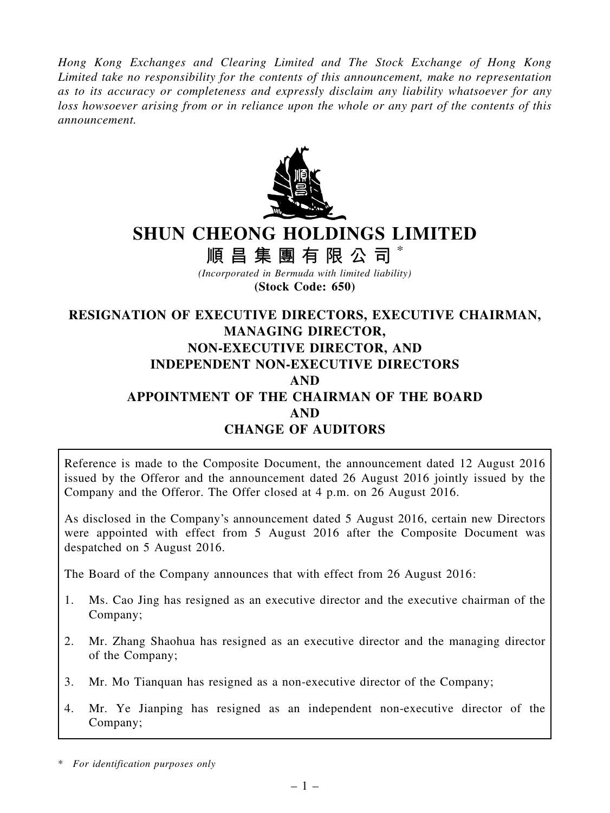Hong Kong Exchanges and Clearing Limited and The Stock Exchange of Hong Kong Limited take no responsibility for the contents of this announcement, make no representation as to its accuracy or completeness and expressly disclaim any liability whatsoever for any loss howsoever arising from or in reliance upon the whole or any part of the contents of this announcement.



# SHUN CHEONG HOLDINGS LIMITED

順 昌 集 團 有 限 公 司

(Incorporated in Bermuda with limited liability) (Stock Code: 650)

## RESIGNATION OF EXECUTIVE DIRECTORS, EXECUTIVE CHAIRMAN, MANAGING DIRECTOR, NON-EXECUTIVE DIRECTOR, AND INDEPENDENT NON-EXECUTIVE DIRECTORS AND APPOINTMENT OF THE CHAIRMAN OF THE BOARD AND CHANGE OF AUDITORS

Reference is made to the Composite Document, the announcement dated 12 August 2016 issued by the Offeror and the announcement dated 26 August 2016 jointly issued by the Company and the Offeror. The Offer closed at 4 p.m. on 26 August 2016.

As disclosed in the Company's announcement dated 5 August 2016, certain new Directors were appointed with effect from 5 August 2016 after the Composite Document was despatched on 5 August 2016.

The Board of the Company announces that with effect from 26 August 2016:

- 1. Ms. Cao Jing has resigned as an executive director and the executive chairman of the Company;
- 2. Mr. Zhang Shaohua has resigned as an executive director and the managing director of the Company;
- 3. Mr. Mo Tianquan has resigned as a non-executive director of the Company;
- 4. Mr. Ye Jianping has resigned as an independent non-executive director of the Company;

<sup>\*</sup> For identification purposes only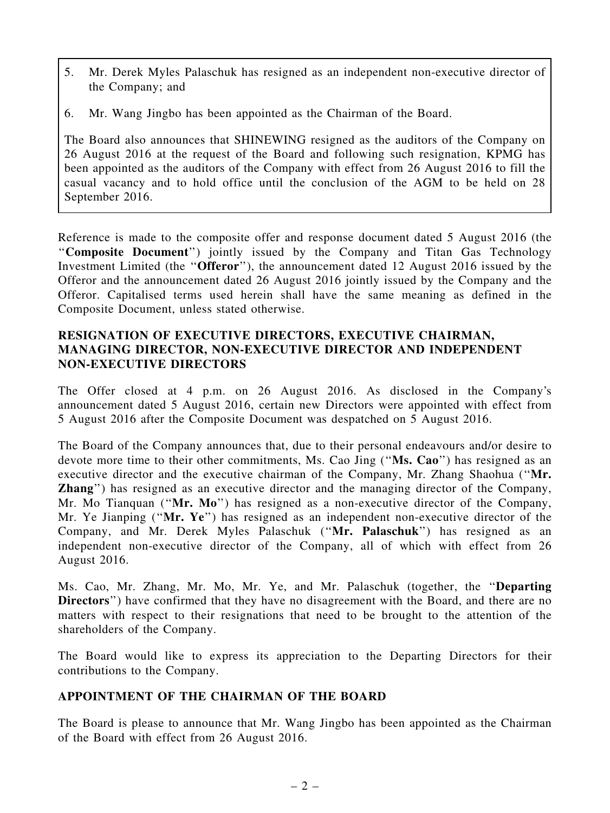- 5. Mr. Derek Myles Palaschuk has resigned as an independent non-executive director of the Company; and
- 6. Mr. Wang Jingbo has been appointed as the Chairman of the Board.

The Board also announces that SHINEWING resigned as the auditors of the Company on 26 August 2016 at the request of the Board and following such resignation, KPMG has been appointed as the auditors of the Company with effect from 26 August 2016 to fill the casual vacancy and to hold office until the conclusion of the AGM to be held on 28 September 2016.

Reference is made to the composite offer and response document dated 5 August 2016 (the ''Composite Document'') jointly issued by the Company and Titan Gas Technology Investment Limited (the ''Offeror''), the announcement dated 12 August 2016 issued by the Offeror and the announcement dated 26 August 2016 jointly issued by the Company and the Offeror. Capitalised terms used herein shall have the same meaning as defined in the Composite Document, unless stated otherwise.

### RESIGNATION OF EXECUTIVE DIRECTORS, EXECUTIVE CHAIRMAN, MANAGING DIRECTOR, NON-EXECUTIVE DIRECTOR AND INDEPENDENT NON-EXECUTIVE DIRECTORS

The Offer closed at 4 p.m. on 26 August 2016. As disclosed in the Company's announcement dated 5 August 2016, certain new Directors were appointed with effect from 5 August 2016 after the Composite Document was despatched on 5 August 2016.

The Board of the Company announces that, due to their personal endeavours and/or desire to devote more time to their other commitments, Ms. Cao Jing ("Ms. Cao") has resigned as an executive director and the executive chairman of the Company, Mr. Zhang Shaohua (''Mr. Zhang'') has resigned as an executive director and the managing director of the Company, Mr. Mo Tianquan ("Mr. Mo") has resigned as a non-executive director of the Company, Mr. Ye Jianping ("Mr. Ye") has resigned as an independent non-executive director of the Company, and Mr. Derek Myles Palaschuk (''Mr. Palaschuk'') has resigned as an independent non-executive director of the Company, all of which with effect from 26 August 2016.

Ms. Cao, Mr. Zhang, Mr. Mo, Mr. Ye, and Mr. Palaschuk (together, the ''Departing Directors") have confirmed that they have no disagreement with the Board, and there are no matters with respect to their resignations that need to be brought to the attention of the shareholders of the Company.

The Board would like to express its appreciation to the Departing Directors for their contributions to the Company.

### APPOINTMENT OF THE CHAIRMAN OF THE BOARD

The Board is please to announce that Mr. Wang Jingbo has been appointed as the Chairman of the Board with effect from 26 August 2016.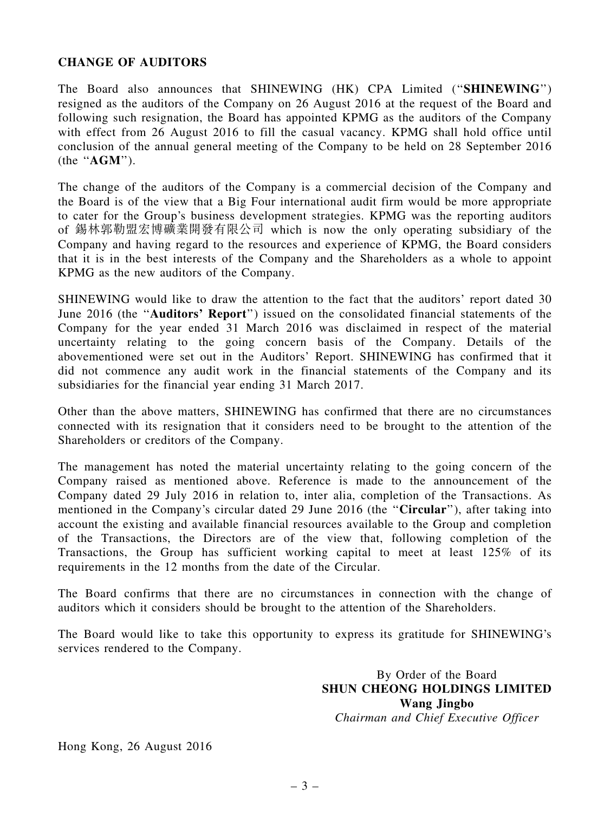#### CHANGE OF AUDITORS

The Board also announces that SHINEWING (HK) CPA Limited (''SHINEWING'') resigned as the auditors of the Company on 26 August 2016 at the request of the Board and following such resignation, the Board has appointed KPMG as the auditors of the Company with effect from 26 August 2016 to fill the casual vacancy. KPMG shall hold office until conclusion of the annual general meeting of the Company to be held on 28 September 2016 (the ''AGM'').

The change of the auditors of the Company is a commercial decision of the Company and the Board is of the view that a Big Four international audit firm would be more appropriate to cater for the Group's business development strategies. KPMG was the reporting auditors of 錫林郭勒盟宏博礦業開發有限公司 which is now the only operating subsidiary of the Company and having regard to the resources and experience of KPMG, the Board considers that it is in the best interests of the Company and the Shareholders as a whole to appoint KPMG as the new auditors of the Company.

SHINEWING would like to draw the attention to the fact that the auditors' report dated 30 June 2016 (the ''Auditors' Report'') issued on the consolidated financial statements of the Company for the year ended 31 March 2016 was disclaimed in respect of the material uncertainty relating to the going concern basis of the Company. Details of the abovementioned were set out in the Auditors' Report. SHINEWING has confirmed that it did not commence any audit work in the financial statements of the Company and its subsidiaries for the financial year ending 31 March 2017.

Other than the above matters, SHINEWING has confirmed that there are no circumstances connected with its resignation that it considers need to be brought to the attention of the Shareholders or creditors of the Company.

The management has noted the material uncertainty relating to the going concern of the Company raised as mentioned above. Reference is made to the announcement of the Company dated 29 July 2016 in relation to, inter alia, completion of the Transactions. As mentioned in the Company's circular dated 29 June 2016 (the "Circular"), after taking into account the existing and available financial resources available to the Group and completion of the Transactions, the Directors are of the view that, following completion of the Transactions, the Group has sufficient working capital to meet at least 125% of its requirements in the 12 months from the date of the Circular.

The Board confirms that there are no circumstances in connection with the change of auditors which it considers should be brought to the attention of the Shareholders.

The Board would like to take this opportunity to express its gratitude for SHINEWING's services rendered to the Company.

> By Order of the Board SHUN CHEONG HOLDINGS LIMITED Wang Jingbo Chairman and Chief Executive Officer

Hong Kong, 26 August 2016